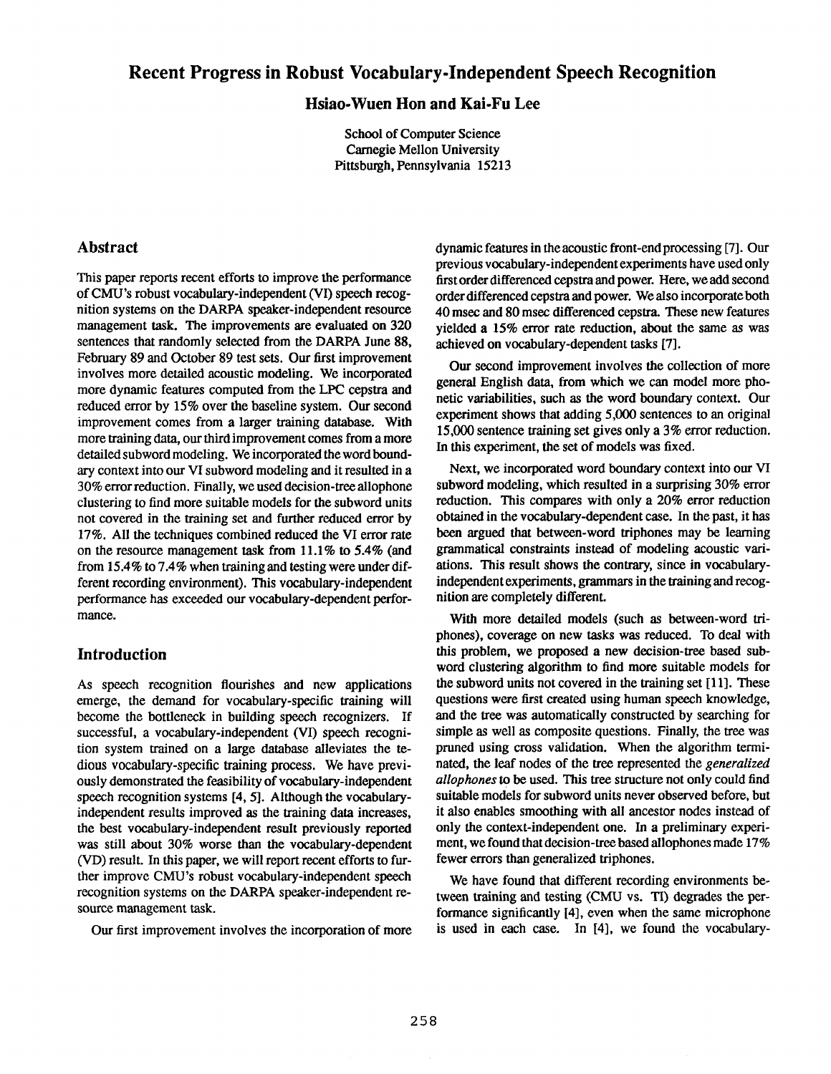# **Recent Progress in Robust Vocabulary-Independent Speech Recognition**

## **Hsiao-Wuen Hon and Kai.Fu Lee**

School of Computer Science Carnegie Mellon University Pittsburgh, Pennsylvania 15213

## **Abstract**

This paper reports recent efforts to improve the performance of CMU's robust vocabulary-independent (VI) speech recognition systems on the DARPA speaker-independent resource management task. The improvements are evaluated on 320 sentences that randomly selected from the DARPA June 88, February 89 and October 89 test sets. Our first improvement involves more detailed acoustic modeling. We incorporated more dynamic features computed from the LPC cepstra and reduced error by 15% over the baseline system. Our second improvement comes from a larger training database. With more training data, our third improvement comes from a more detailed subword modeling. We incorporated the word boundary context into our VI subword modeling and it resulted in a 30% error reduction. Finally, we used decision-tree allophone clustering to find more suitable models for the subword units not covered in the training set and further reduced error by 17%. All the techniques combined reduced the VI error **rate**  on the resource management task from 11.1% to 5.4% (and from 15.4% to 7.4% when training and testing were under different recording environment). This vocabulary-independent performance has exceeded our vocabulary-dependent performance.

#### **Introduction**

As speech recognition flourishes and new applications emerge, the demand for vocabulary-specific training will become the bottleneck in building speech recognizers. If successful, a vocabulary-independent (VI) speech recognition system trained on a large database alleviates the **tedious** vocabulary-specific training process. We have previously demonstrated the feasibility of vocabulary-independent speech recognition systems [4, 5]. Although the vocabularyindependent results improved as the training data increases, the best vocabulary-independent result previously reported was still about 30% worse than the vocabulary-dependent (VD) result. In this paper, we will report recent efforts to further improve CMU's robust vocabulary-independent speech recognition systems on the DARPA speaker-independent resource management task.

Our first improvement involves the incorporation of more

dynamic features in theacoustic front-endprocessing [7]. Our previous vocabulary-independent experiments have used only first order differenced cepstra and power. Here, we add second order differenced cepstra and power. We also incorporateboth 40 msec and 80 msec differenced cepstra. These new features yielded a 15% error rate reduction, about the same as was achieved on vocabulary-dependent tasks [7].

Our second improvement involves the collection of more general English data, from which we can model more phonetic variabilities, such as the word boundary context. Our experiment shows that adding 5,000 sentences to an original 15,000 sentence training set gives only a 3% error reduction. In this experiment, the set of models was fixed.

Next, we incorporated word boundary context into our VI subword modeling, which resulted in a surprising 30% error reduction. This compares with only a 20% error reduction obtained in the vocabulary-dependent case. In the past, it has been argued that between-word triphones may be learning grammatical constraints instead of modeling acoustic variations. This result shows the contrary, since in vocabularyindependent experiments, grammars in the training and recognition are completely different.

With more detailed models (such as between-word triphones), coverage on new tasks was reduced. To deal with this problem, we proposed a new decision-tree based subword clustering algorithm to find more suitable models for the subword units not covered in the training set [11]. These questions were first created using human speech knowledge, and the tree was automatically constructed by searching for simple as well as composite questions. Finally, the tree was pruned using cross validation. When the algorithm terminated, the leaf nodes of the tree represented the *generalized allophones to be* used. This tree structure not only could find suitable models for subword units never observed before, but it also enables smoothing with all ancestor nodes instead of only the context-independent one. In a preliminary experiment, we found that decision-tree based allophones made 17 % fewer errors than generalized triphones.

We have found that different recording environments between training and testing (CMU vs. TI) degrades the performance significantly [4], even when the same microphone is used in each case. In [4], we found the vocabulary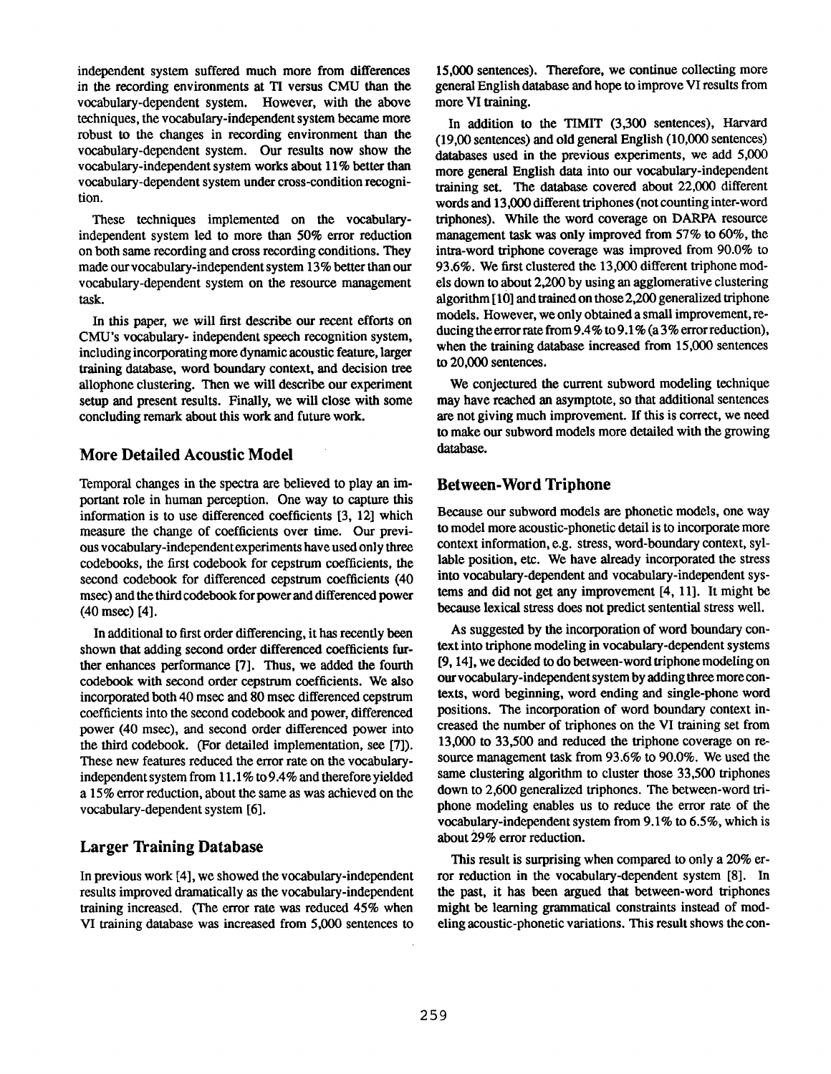independent system suffered much more from differences in the recording environments at TI versus CMU than the vocabulary-dependent system. However, with the above techniques, the vocabulary-independent system became more robust to the changes in recording environment than the vocabulary-dependent system. Our results now show the vocabulary-independent system works about 11% better than vocabulary-dependent system under cross-condition recognition.

These techniques implemented on the vocabularyindependent system led to more than 50% error reduction on both same recording and cross recording conditions. They made our vocabulary-independent system 13% better than our vocabulary-dependent system on the resource management task.

In this paper, we will first describe our recent efforts on CMU's vocabulary- independent speech recognition system, including incorporating more dynamic acoustic feature, larger training database, word boundary context, and decision tree allophone clustering. Then we will describe our experiment setup and present results. Finally, we will close with some concluding remark about this work and future work.

## **More Detailed Acoustic Model**

Temporal changes in the spectra are believed to play an important role in human perception. One way to capture this information is to use differenced coefficients [3, 12] which measure the change of coefficients over time. Our previous vocabulary-independent experiments have used only three codebooks, the first codebook for cepstrum coefficients, the second codebook for differenced cepstrum coefficients (40 msee) and the third codebook for power and differenced power (40 msec) [4].

In additional to first order differencing, it has recently been shown that adding second order differenced coefficients further enhances performance [7]. Thus, we added the fourth codebook with second order cepstrum coefficients. We also incorporated both 40 msec and 80 msec differenced cepstrum coefficients into the second codebook and power, differenced power (40 msec), and second order differenced power into the third codebook. (For detailed implementation, see [7]). These new features reduced the error rate on the vocabularyindependent system from 11.1% to 9.4 % and therefore yielded a 15% error reduction, about the same as was achieved on the vocabulary-dependent system [6].

# **Larger Training Database**

In previous work [4], we showed the vocabulary-independent results improved dramatically as the vocabulary-independent training increased. (The error rate was reduced 45% when VI training database was increased from 5,000 sentences to

15,000 sentences). Therefore, we continue collecting more general English database and hope to improve VI results from more VI training.

In addition to the TIM1T (3,300 sentences), Harvard (19,00 sentences) and old general English (10,000 sentences) databases used in the previous experiments, we add 5,000 more general English data into our vocabulary-independent training set. The database covered about 22,000 different words and 13,000 different triphones (not counting inter-word triphones). While the word coverage on DARPA resource management task was only improved from 57% to 60%, the intra-word triphone coverage was improved from 90.0% to 93.6%. We first clustered the 13,000 different triphone models down to about 2,200 by using an agglomerative clustering algorithm [ 10] and trained on those 2,200 generalized triphone models. However, we only obtained a small improvement, reducing the error rate from  $9.4\%$  to  $9.1\%$  (a 3% error reduction), when the training database increased from 15,000 sentences to 20,000 sentences.

We conjectured the current subword modeling technique may have reached an asymptote, so that additional sentences are not giving much improvement. If this is correct, we need to make our subword models more detailed with the growing database.

# **Between-Word Triphone**

Because our subword models are phonetic models, one way to model more acoustic-phonetic detail is to incorporate more context information, e.g. stress, word-boundary context, syllable position, etc. We have already incorporated the stress into vocabulary-dependent and vocabulary-independent systems and did not get any improvement [4, 11]. It might be because lexical stress does not predict sentential stress well.

As suggested by the incorporation of word boundary context into triphone modeling in vocabulary-dependent systems [9, 14], we decided to do between-word triphone modeling on our vocabulary-independent system by adding three more contexts, word beginning, word ending and single-phone word positions. The incorporation of word boundary context increased the number of triphones on the VI training set from 13,000 to 33,500 and reduced the triphone coverage on resource management task from 93.6% to 90.0%. We used the same clustering algorithm to cluster those 33,500 triphones down to 2,600 generalized triphones. The between-word triphone modeling enables us to reduce the error rate of the vocabulary-independent system from 9.1% to 6.5%, which is about 29% error reduction.

This result is surprising when compared to only a 20% error reduction in the vocabulary-dependent system [8]. In the past, it has been argued that between-word triphones might be learning grammatical constraints instead of modeling acoustic-phonetic variations. This result shows the con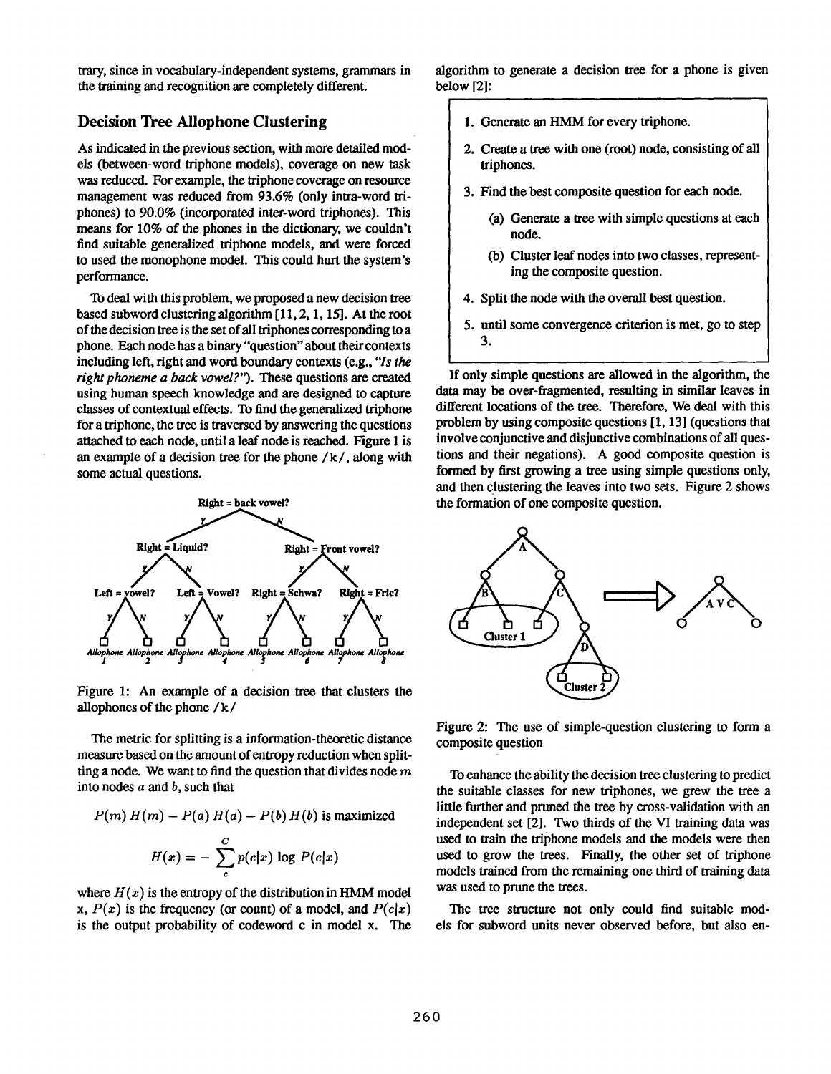trary, since in vocabulary-independent systems, grammars in the training and recognition are completely different.

### Decision Tree Allophone Clustering

As indicated in the previous section, with more detailed models (between-word triphone models), coverage on new task was reduced. For example, the triphone coverage on resource management was reduced from 93.6% (only intra-word triphones) to 90.0% (incorporated inter-word triphones). This means for 10% of the phones in the dictionary, we couldn't find suitable generalized triphone models, and were forced to used the monophone model. This could hurt the system's performance.

To deal with this problem, we proposed a new decision tree based subword clustering algorithm [11, 2, 1, 15]. At the root of the decision tree is the set of all triphones corresponding to a phone. Each node has a binary "question" about their contexts including left, right and word boundary contexts (e.g., *"Is the right phoneme a back vowel?").* These questions are created using human speech knowledge and are designed to capture classes of contextual effects. To find the generalized triphone for a triphone, the tree is traversed by answering the questions attached to each node, until a leaf node is reached. Figure 1 is an example of a decision tree for the phone  $/k/$ , along with some actual questions.



Figure 1: An example of a decision tree that clusters the allophones of the phone / k /

The metric for splitting is a information-theoretic distance measure based on the amount of entropy reduction when splitting a node. We want to find the question that divides node  $m$ into nodes  $a$  and  $b$ , such that

$$
P(m) H(m) - P(a) H(a) - P(b) H(b) \text{ is maximized}
$$

$$
H(x) = -\sum_{c}^{C} p(c|x) \log P(c|x)
$$

where  $H(x)$  is the entropy of the distribution in HMM model x,  $P(x)$  is the frequency (or count) of a model, and  $P(c|x)$ is the output probability of codeword c in model x. The algorithm to generate a decision tree for a phone is given below [2]:

- 1. Generate an HMM for every triphone.
- 2. Create a tree with one (root) node, consisting of all triphones.
- 3. Find the best composite question for each node.
	- (a) Generate a tree with simple questions at each node.
	- (b) Cluster leaf nodes into two classes, representing the composite question.
- 4. Split the node with the overall best question.
- 5. until some convergence criterion is met, go to step 3.

If only simple questions are allowed in the algorithm, the data may be over-fragmented, resulting in similar leaves in different locations of the tree. Therefore, We deal with this problem by using composite questions [1, 13] (questions that involve conjunctive and disjunctive combinations of all questions and their negations). A good composite question is formed by first growing a tree using simple questions only, and then clustering the leaves into two sets. Figure 2 shows the formation of one composite question.



Figure 2: The use of simple-question clustering to form a composite question

To enhance the ability the decision tree clustering to predict the suitable classes for new triphones, we grew the tree a little further and pruned the tree by cross-validation with an independent set [2]. Two thirds of the VI training data was used to train the triphone models and the models were then used to grow the trees. Finally, the other set of triphone models trained from the remaining one third of training data was used to prune the trees.

The tree structure not only could find suitable models for subword units never observed before, but also en-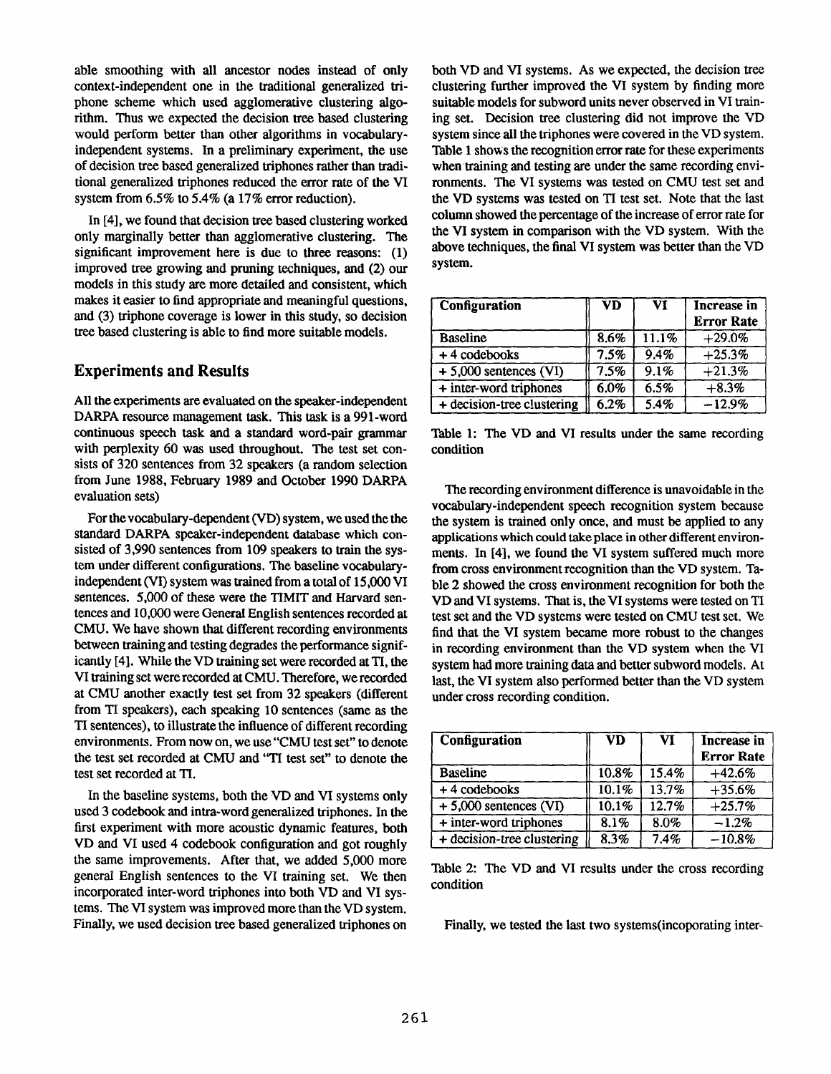able smoothing with all ancestor nodes instead of only context-independent one in the traditional generalized triphone scheme which used agglomerative clustering algorithm. Thus we expected the decision tree based clustering would perform better than other algorithms **in** vocabularyindependent systems. In a preliminary experiment, the use of decision tree based generalized triphones rather than traditional generalized triphones reduced the error rate of the VI system from 6.5% to 5A% (a 17% error reduction).

In [4], we found that decision tree based clustering worked only marginally better than agglomerative clustering. The significant improvement here is due to three reasons: (1) improved tree growing and pruning techniques, and (2) our models in this study are more detailed and consistent, which makes it easier to find appropriate and meaningful questions, and (3) triphone coverage is lower in this study, so decision tree based clustering is able to find more suitable models.

#### **Experiments and** Results

All the experiments are evaluated on the speaker-independent DARPA resource management task. This task is a 991-word continuous speech task and a standard word-pair grammar with perplexity 60 was used throughout. The test set consists of 320 sentences from 32 speakers (a random selection from June 1988, February 1989 and October 1990 DARPA evaluation sets)

For the vocabulary-dependent (VD) system, we used the the standard DARPA speaker-independent database which consisted of 3,990 sentences from 109 speakers to train the system under different configurations. The baseline vocabularyindependent (VI) system was trained from a total of 15,000 VI sentences. 5,000 of these were the TIMIT and Harvard sentences and I0,000 were General English sentences recorded **at**  CMU. We have shown that different recording environments between training and testing degrades the performance significantly [4]. While the VD training set were recorded at TI, the VI training set were recorded **at** CMU. Therefore, we recorded **at** CMU another exactly test set from 32 speakers (different from TI speakers), each speaking 10 sentences (same as the TI sentences), to illustrate the influence of different recording environments. From now on, we use"CMU test set" to denote the test set recorded at CMU and "TI test set" to denote the test set recorded at TI.

In the baseline systems, both the VD and VI systems only used 3 codebook and intra-word generalized triphones. In the first experiment with more acoustic dynamic features, both VD and VI used 4 codebook configuration and got roughly the same improvements. After that, we added 5,000 more general English sentences to the VI training set. We then incorporated inter-word triphones into both VD and VI systems. The VI system was improved more than the VD system. Finally, we used decision tree based generalized triphones on

both VD and VI systems. As we expected, the decision tree clustering further improved the VI system by finding more suitable models for subword units never observed in VI training set. Decision tree clustering did not improve the VD system since all the triphones were covered in the VD system. Table 1 shows the recognition error rate for these experiments when training and testing are under the same recording environments. The VI systems was tested on CMU test set and the VD systems was tested on TI test set. Note that the last column showed the percentage of the increase of error rate for the VI system in comparison with the VD system. With the above techniques, the final VI system was better than the VD system.

| <b>Configuration</b>       | <b>VD</b> | VI    | Increase in<br><b>Error Rate</b> |
|----------------------------|-----------|-------|----------------------------------|
| <b>Baseline</b>            | 8.6%      | 11.1% | $+29.0%$                         |
| $+4$ codebooks             | 7.5%      | 9.4%  | $+25.3%$                         |
| $+5,000$ sentences (VI)    | 7.5%      | 9.1%  | $+21.3%$                         |
| + inter-word triphones     | 6.0%      | 6.5%  | $+8.3%$                          |
| + decision-tree clustering | 6.2%      | 5.4%  | $-12.9%$                         |

Table 1: The VD and VI results under the same recording condition

The recording environment difference is unavoidable in the vocabulary-independent speech recognition system because the system is trained only once, and must be applied to any applications which could take place in other different environments. In [4], we found the VI system suffered much more from cross environment recognition than the VD system. Table 2 showed the cross environment recognition for both the VD and VI systems. That is, the VI systems were tested on TI test set and the VD systems were tested on CMU test set. We find that the VI system became more robust to the changes **in** recording environment than the VD system when the VI system had more training data and better subword models. At last, the VI system also performed better than the VD system under cross recording condition.

| Configuration              | <b>VD</b> | VI    | Increase in<br><b>Error Rate</b> |
|----------------------------|-----------|-------|----------------------------------|
| <b>Baseline</b>            | 10.8%     | 15.4% | $+42.6%$                         |
| $+4$ codebooks             | 10.1%     | 13.7% | $+35.6%$                         |
| $+5,000$ sentences (VI)    | 10.1%     | 12.7% | $+25.7%$                         |
| + inter-word triphones     | 8.1%      | 8.0%  | $-1.2%$                          |
| + decision-tree clustering | 8.3%      | 7.4%  | $-10.8%$                         |

Table 2: The VD and VI results under the cross recording condition

Finally, we tested the last two systems(incoporating inter-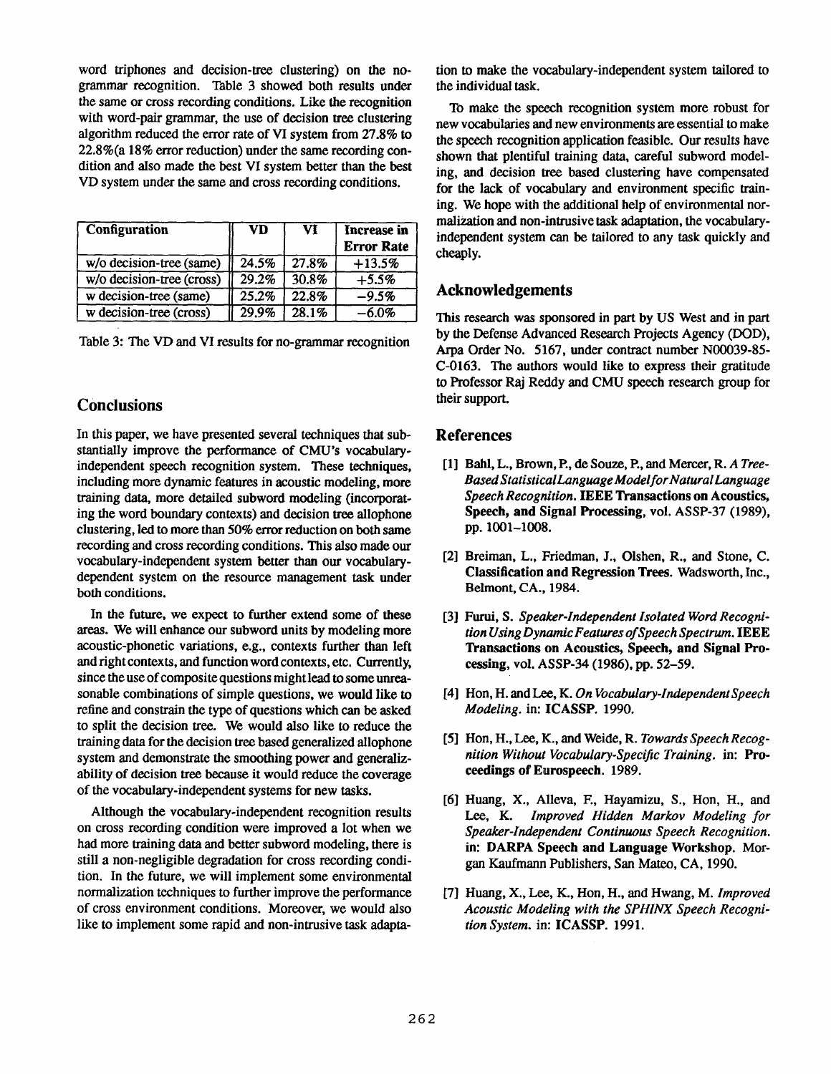word triphones and decision-tree clustering) on the nogrammar recognition. Table 3 showed both results under the same or cross recording conditions. Like the recognition with word-pair grammar, the use of decision tree clustering algorithm reduced the error rate of VI system from 27.8% to 22.8%(a 18% error reduction) under the same recording condition and also made the best VI system better than the besst VD system under the same and cross recording conditions.

| Configuration             | <b>VD</b> | VI    | Increase in<br><b>Error Rate</b> |
|---------------------------|-----------|-------|----------------------------------|
| w/o decision-tree (same)  | 24.5%     | 27.8% | $+13.5%$                         |
| w/o decision-tree (cross) | 29.2%     | 30.8% | $+5.5%$                          |
| w decision-tree (same)    | 25.2%     | 22.8% | $-9.5%$                          |
| w decision-tree (cross)   | 29.9%     | 28.1% | -6.0%                            |

|  |  |  | Table 3: The VD and VI results for no-grammar recognition |
|--|--|--|-----------------------------------------------------------|
|--|--|--|-----------------------------------------------------------|

## **Conclusions**

In this paper, we have presented several techniques that substantially improve the performance of CMU's vocabularyindependent speech recognition system. These techniques, including more dynamic features in acoustic modeling, more training data, more detailed subword modeling (incorporating the word boundary contexts) and decision tree allophone clustering, led to more than 50% error reduction on both same recording and cross recording conditions. This also made our vocabulary-independent system better than our vocabularydependent system on the resource management task under both conditions.

In the future, we expect to further extend some of these areas. We will enhance our subword units by modeling more acoustic-phonetic variations, e.g., contexts further than left and right contexts, and function word contexts, etc. Currently, since the use of composite questions might lead to some unreasonable combinations of simple questions, we would like to refine and constrain the type of questions which can be asked to split the decision tree. We would also like to reduce the training data for the decision tree based generalized allophone system and demonstrate the smoothing power and generalizability of decision tree because it would reduce the coverage of the vocabulary-independent systems for new tasks.

Although the vocabulary-independent recognition results on cross recording condition were improved a lot when we had more training data and better subword modeling, there is still a non-negligible degradation for cross recording condition. In the future, we will implement some environmental normalization techniques to further improve the performance of cross environment conditions. Moreover, we would also like to implement some rapid and non-intrusive task adaptation to make the vocabulary-independent system tailored to the individual task.

To make the speech recognition system more robust for new vocabularies and new environments are essential to make the speech recognition application feasible. Our results have shown that plentiful training data, careful subword modeling, and decision tree based clustering have compensated for the lack of vocabulary and environment specific training. We hope with the additional help of environmental normalization and non-intrusive task adaptation, the vocabularyindependent system can be tailored to any task quickly and cheaply.

### **Acknowledgements**

This research was sponsored in part by US West and in part by the Defense Advanced Research Projects Agency (DOD), Axpa Order No. 5167, under contract number N00039-85- C-0163. The authors would like to express their gratitude to Professor Raj Reddy and CMU speech research group for their support.

### **References**

- [1] Bahl, L., Brown, R, de Souze, R, and Mercer, *R. A Tree-Based StatisticalLanguage Model for Natural Language Speech Recognition.* IEEE **Transactions on Acoustics, Speech, and Signal Processing,** vol. ASSP-37 (1989), pp. 1001-1008.
- **[2]**  Breiman, L., Friedman, J., Olshen, R., and Stone, C. **Classification and Regression** Trees. Wadsworth, Inc., Belmont, CA., 1984.
- [3] Furui, S. *Speaker-Independent Isolated Word Recognition Using Dynamic Features of Speech Spectrum.* IEEE **Transactions on Acoustics, Speech, and Signal Processing,** vol. ASSP-34 (1986), pp. 52-59.
- [4] Hon, H. and Lee, K. *On Vocabulary-lndependentSpeech Modeling.* **in: ICASSP.** 1990.
- [5] Hon, H., Lee, K., and Weide, R. *Towards Speech Recognition Without Vocabulary-Specific Training.* in: Proceedings **of Eurospeech.** 1989.
- [6] Huang, X., Alleva, E, Hayamizu, S., Hon, H., and *Lee, K. Improved Hidden Markov Modeling for Speaker-Independent Continuous Speech Recognition.*  **in: DARPA Speech and Language Workshop.** Morgan Kaufmann Publishers, San Mateo, CA, 1990.
- [7] Huang, X., Lee, K., Hon, H., and Hwang, M. *Improved Acoustic Modeling with the SPHINX Speech Recognition System.* in: ICASSP. 1991.